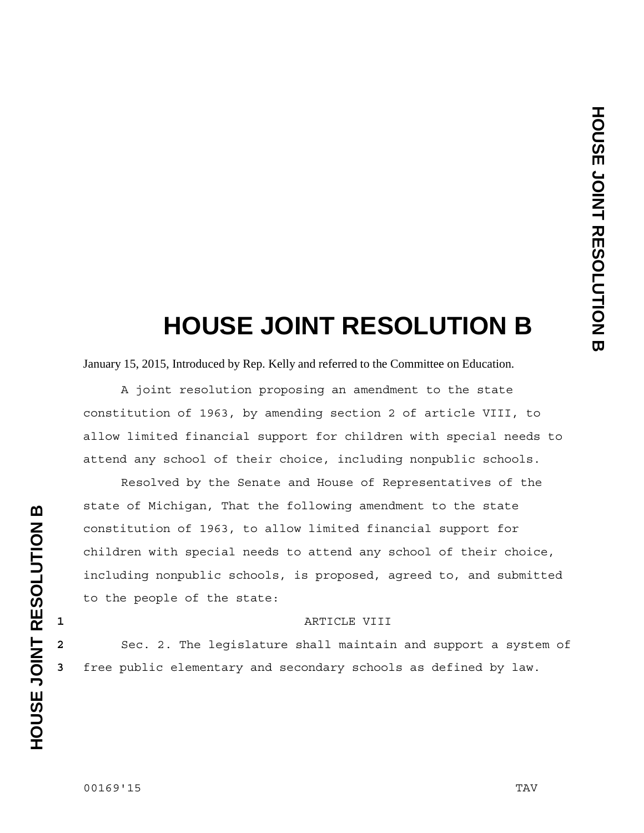## **HOUSE JOINT RESOLUTION B**

January 15, 2015, Introduced by Rep. Kelly and referred to the Committee on Education.

 A joint resolution proposing an amendment to the state constitution of 1963, by amending section 2 of article VIII, to allow limited financial support for children with special needs to attend any school of their choice, including nonpublic schools.

 Resolved by the Senate and House of Representatives of the state of Michigan, That the following amendment to the state constitution of 1963, to allow limited financial support for children with special needs to attend any school of their choice, including nonpublic schools, is proposed, agreed to, and submitted to the people of the state:

## **1** ARTICLE VIII

**2** Sec. 2. The legislature shall maintain and support a system of **3** free public elementary and secondary schools as defined by law.